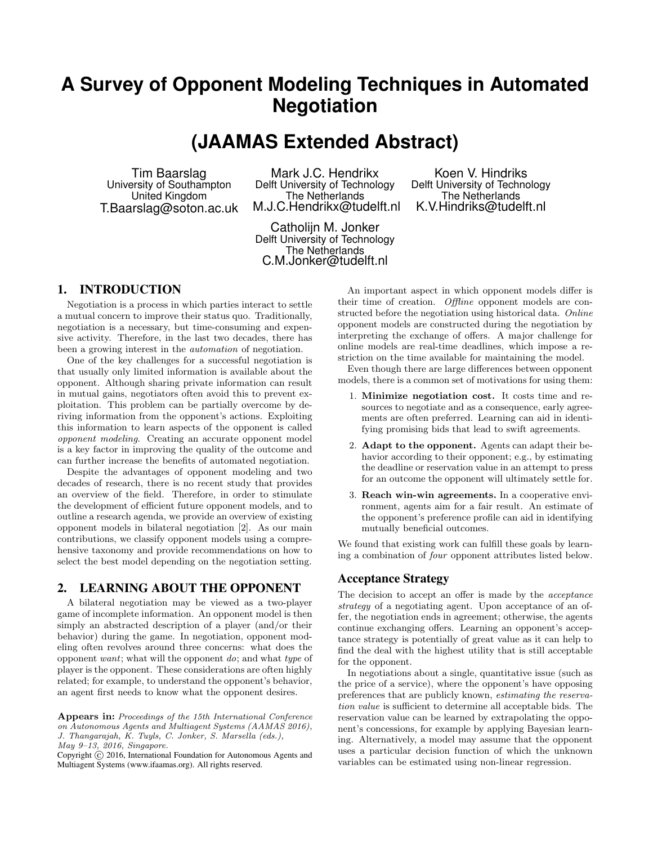# **A Survey of Opponent Modeling Techniques in Automated Negotiation**

## **(JAAMAS Extended Abstract)**

Tim Baarslag University of Southampton United Kingdom T.Baarslag@soton.ac.uk

Mark J.C. Hendrikx Delft University of Technology The Netherlands M.J.C.Hendrikx@tudelft.nl

Koen V. Hindriks Delft University of Technology The Netherlands K.V.Hindriks@tudelft.nl

Catholijn M. Jonker Delft University of Technology The Netherlands C.M.Jonker@tudelft.nl

## 1. INTRODUCTION

Negotiation is a process in which parties interact to settle a mutual concern to improve their status quo. Traditionally, negotiation is a necessary, but time-consuming and expensive activity. Therefore, in the last two decades, there has been a growing interest in the automation of negotiation.

One of the key challenges for a successful negotiation is that usually only limited information is available about the opponent. Although sharing private information can result in mutual gains, negotiators often avoid this to prevent exploitation. This problem can be partially overcome by deriving information from the opponent's actions. Exploiting this information to learn aspects of the opponent is called opponent modeling. Creating an accurate opponent model is a key factor in improving the quality of the outcome and can further increase the benefits of automated negotiation.

Despite the advantages of opponent modeling and two decades of research, there is no recent study that provides an overview of the field. Therefore, in order to stimulate the development of efficient future opponent models, and to outline a research agenda, we provide an overview of existing opponent models in bilateral negotiation [2]. As our main contributions, we classify opponent models using a comprehensive taxonomy and provide recommendations on how to select the best model depending on the negotiation setting.

#### 2. LEARNING ABOUT THE OPPONENT

A bilateral negotiation may be viewed as a two-player game of incomplete information. An opponent model is then simply an abstracted description of a player (and/or their behavior) during the game. In negotiation, opponent modeling often revolves around three concerns: what does the opponent want; what will the opponent do; and what type of player is the opponent. These considerations are often highly related; for example, to understand the opponent's behavior, an agent first needs to know what the opponent desires.

An important aspect in which opponent models differ is their time of creation. Offline opponent models are constructed before the negotiation using historical data. Online opponent models are constructed during the negotiation by interpreting the exchange of offers. A major challenge for online models are real-time deadlines, which impose a restriction on the time available for maintaining the model.

Even though there are large differences between opponent models, there is a common set of motivations for using them:

- 1. Minimize negotiation cost. It costs time and resources to negotiate and as a consequence, early agreements are often preferred. Learning can aid in identifying promising bids that lead to swift agreements.
- 2. Adapt to the opponent. Agents can adapt their behavior according to their opponent; e.g., by estimating the deadline or reservation value in an attempt to press for an outcome the opponent will ultimately settle for.
- 3. Reach win-win agreements. In a cooperative environment, agents aim for a fair result. An estimate of the opponent's preference profile can aid in identifying mutually beneficial outcomes.

We found that existing work can fulfill these goals by learning a combination of four opponent attributes listed below.

#### Acceptance Strategy

The decision to accept an offer is made by the acceptance strategy of a negotiating agent. Upon acceptance of an offer, the negotiation ends in agreement; otherwise, the agents continue exchanging offers. Learning an opponent's acceptance strategy is potentially of great value as it can help to find the deal with the highest utility that is still acceptable for the opponent.

In negotiations about a single, quantitative issue (such as the price of a service), where the opponent's have opposing preferences that are publicly known, estimating the reservation value is sufficient to determine all acceptable bids. The reservation value can be learned by extrapolating the opponent's concessions, for example by applying Bayesian learning. Alternatively, a model may assume that the opponent uses a particular decision function of which the unknown variables can be estimated using non-linear regression.

Appears in: Proceedings of the 15th International Conference on Autonomous Agents and Multiagent Systems (AAMAS 2016), J. Thangarajah, K. Tuyls, C. Jonker, S. Marsella (eds.), May 9–13, 2016, Singapore.

Copyright (C) 2016, International Foundation for Autonomous Agents and Multiagent Systems (www.ifaamas.org). All rights reserved.